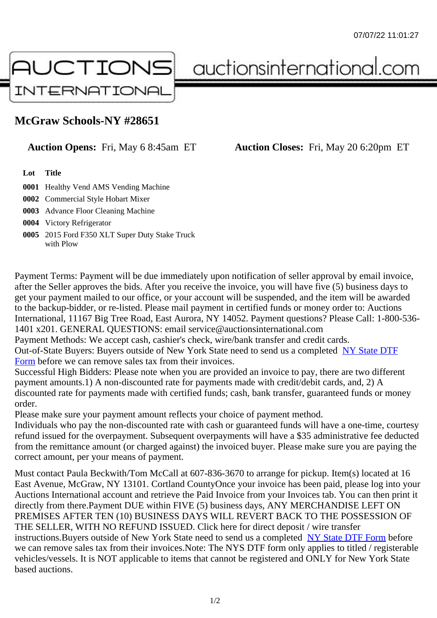## McGraw Schools-NY #28651

## Auction Opens: Fri, May 6 8:45am ET Auction Closes: Fri, May 20 6:20pm ET

Lot Title

0001 Healthy Vend AMS Vending Machine

0002 Commercial Style Hobart Mixer

0003 Advance Floor Cleaning Machine

0004 Victory Refrigerator

0005 2015 Ford F350 XLT Super Duty Stake Truck with Plow

Payment Terms: Payment will be due immediately upon notification of seller approval by email invoice, after the Seller approves the bids. After you receive the invoice, you will have five (5) business days to get your payment mailed to our office, or your account will be suspended, and the item will be awarded to the backup-bidder, or re-listed. Please mail payment in certified funds or money order to: Auctions International, 11167 Big Tree Road, East Aurora, NY 14052. Payment questions? Please Call: 1-800-53 1401 x201. GENERAL QUESTIONS: email service@auctionsinternational.com

Payment Methods: We accept cash, cashier's check, wire/bank transfer and credit cards.

Out-of-State Buyers: Buyers outside of New York State need to send us a com blestate DTF Form before we can remove sales tax from their invoices.

Successful High Bidders: Please note when you are provided an invoice to pay, there are two different payment amounts.1) A non-discounted rate for payments made with credit/de[bit cards, and](https://www.auctionsinternational.com/auxiliary/downloads/DTF_Form/dtf_fill_in.pdf), 2) A [disco](https://www.auctionsinternational.com/auxiliary/downloads/DTF_Form/dtf_fill_in.pdf)unted rate for payments made with certified funds; cash, bank transfer, guaranteed funds or mone order.

Please make sure your payment amount reflects your choice of payment method.

Individuals who pay the non-discounted rate with cash or guaranteed funds will have a one-time, courte refund issued for the overpayment. Subsequent overpayments will have a \$35 administrative fee deduc from the remittance amount (or charged against) the invoiced buyer. Please make sure you are paying correct amount, per your means of payment.

Must contact Paula Beckwith/Tom McCall at 607-836-3670 to arrange for pickup. Item(s) located at 16 East Avenue, McGraw, NY 13101. Cortland CountyOnce your invoice has been paid, please log into yo Auctions International account and retrieve the Paid Invoice from your Invoices tab. You can then print it directly from there.Payment DUE within FIVE (5) business days, ANY MERCHANDISE LEFT ON PREMISES AFTER TEN (10) BUSINESS DAYS WILL REVERT BACK TO THE POSSESSION OF THE SELLER, WITH NO REFUND ISSUED. Click here for direct deposit / wire transfer instructions. Buyers outside of New York State need to send us a combleted ate DTF Form before we can remove sales tax from their invoices.Note: The NYS DTF form only applies to titled / registerabl vehicles/vessels. It is NOT applicable to items that cannot be registered and ONLY for New York State based auctions.